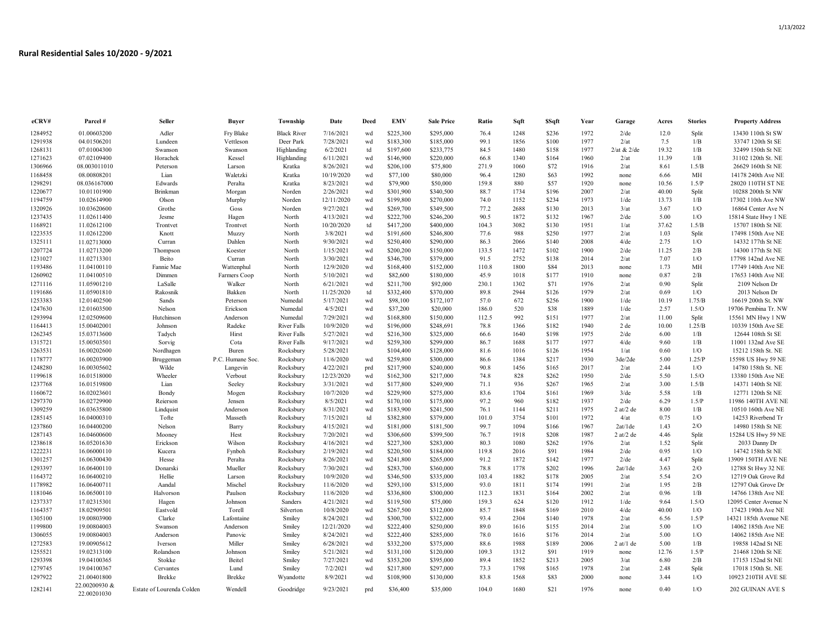| eCRV#   | Parcel#                      | Seller                    | Buyer            | Township           | Date       | Deed | EMV       | <b>Sale Price</b> | Ratio | Sqft | \$Sqft | Year | Garage            | Acres | <b>Stories</b> | <b>Property Address</b> |
|---------|------------------------------|---------------------------|------------------|--------------------|------------|------|-----------|-------------------|-------|------|--------|------|-------------------|-------|----------------|-------------------------|
| 1284952 | 01.00603200                  | Adler                     | Fry Blake        | <b>Black River</b> | 7/16/2021  | wd   | \$225,300 | \$295,000         | 76.4  | 1248 | \$236  | 1972 | $2$ /de           | 12.0  | Split          | 13430 110th St SW       |
| 1291938 | 04.01506201                  | Lundeen                   | Vettleson        | Deer Park          | 7/28/2021  | wd   | \$183,300 | \$185,000         | 99.1  | 1856 | \$100  | 1977 | 2/at              | 7.5   | 1/B            | 33747 120th St SE       |
| 1268131 | 07.01004300                  | Swanson                   | Swanson          | Highlanding        | 6/2/2021   | td   | \$197,600 | \$233,775         | 84.5  | 1480 | \$158  | 1977 | $2$ /at & $2$ /de | 19.32 | 1/B            | 32499 150th St NE       |
| 1271623 | 07.02109400                  | Horachek                  | Kessel           | Highlanding        | 6/11/2021  | wd   | \$146,900 | \$220,000         | 66.8  | 1340 | \$164  | 1960 | 2/at              | 11.39 | 1/B            | 31102 120th St. NE      |
| 1306966 | 08.003011010                 | Peterson                  | Larson           | Kratka             | 8/26/2021  | wd   | \$206,100 | \$75,800          | 271.9 | 1060 | \$72   | 1916 | 2/at              | 8.61  | 1.5/B          | 26629 160th St NE       |
| 1168458 | 08.00808201                  | Lian                      | Waletzki         | Kratka             | 10/19/2020 | wd   | \$77,100  | \$80,000          | 96.4  | 1280 | \$63   | 1992 | none              | 6.66  | MH             | 14178 240th Ave NE      |
| 1298291 | 08.036167000                 | Edwards                   | Peralta          | Kratka             | 8/23/2021  | wd   | \$79,900  | \$50,000          | 159.8 | 880  | \$57   | 1920 | none              | 10.56 | 1.5/P          | 28020 110TH ST NE       |
| 1220677 | 10.01101900                  | <b>Brinkman</b>           | Morgan           | Norden             | 2/26/2021  | wd   | \$301,900 | \$340,500         | 88.7  | 1734 | \$196  | 2007 | 2/at              | 40.00 | Split          | 10288 200th St NW       |
| 1194759 | 10.02614900                  | Olson                     | Murphy           | Norden             | 12/11/2020 | wd   | \$199,800 | \$270,000         | 74.0  | 1152 | \$234  | 1973 | $1$ /de           | 13.73 | 1/B            | 17302 110th Ave NW      |
| 1320926 | 10.03620600                  | Grothe                    | Goss             | Norden             | 9/27/2021  | wd   | \$269,700 | \$349,500         | 77.2  | 2688 | \$130  | 2013 | 3/at              | 3.67  | $1/O$          | 16864 Center Ave N      |
| 1237435 | 11.02611400                  | Jesme                     | Hagen            | North              | 4/13/2021  | wd   | \$222,700 | \$246,200         | 90.5  | 1872 | \$132  | 1967 | $2$ /de           | 5.00  | 1/O            | 15814 State Hwy 1 NE    |
| 1168921 | 11.02612100                  | Trontvet                  | Trontvet         | North              | 10/20/2020 | td   | \$417,200 | \$400,000         | 104.3 | 3082 | \$130  | 1951 | 1/at              | 37.62 | 1.5/B          | 15707 180th St NE       |
| 1223535 | 11.02612200                  | Knott                     | Muzzy            | North              | 3/8/2021   | wd   | \$191,600 | \$246,800         | 77.6  | 988  | \$250  | 1977 | 2/at              | 1.03  | Split          | 17498 150th Ave NE      |
| 1325111 | 11.02713000                  | Curran                    | Dahlen           | North              | 9/30/2021  | wd   | \$250,400 | \$290,000         | 86.3  | 2066 | \$140  | 2008 | $4$ /de           | 2.75  | 1/O            | 14332 177th St NE       |
| 1207724 | 11.02713200                  | Thompson                  | Koester          | North              | 1/15/2021  | wd   | \$200,200 | \$150,000         | 133.5 | 1472 | \$102  | 1900 | $2$ /de           | 11.25 | 2/B            | 14300 177th St NE       |
| 1231027 | 11.02713301                  | Beito                     | Curran           | North              | 3/30/2021  | wd   | \$346,700 | \$379,000         | 91.5  | 2752 | \$138  | 2014 | 2/at              | 7.07  | 1/O            | 17798 142nd Ave NE      |
| 1193486 | 11.04100110                  | Fannie Mae                | Wattenphul       | North              | 12/9/2020  | wd   | \$168,400 | \$152,000         | 110.8 | 1800 | \$84   | 2013 | none              | 1.73  | MH             | 17749 140th Ave NE      |
| 1260902 | 11.04100510                  | Dimmen                    | Farmers Coop     | North              | 5/10/2021  | wd   | \$82,600  | \$180,000         | 45.9  | 1018 | \$177  | 1910 |                   | 0.87  | 2/B            | 17653 140th Ave NE      |
| 1271116 | 11.05901210                  | LaSalle                   | Walker           | North              | 6/21/2021  | wd   | \$211,700 | \$92,000          | 230.1 | 1302 | \$71   | 1976 | none<br>2/at      | 0.90  | Split          | 2109 Nelson Dr          |
|         |                              |                           |                  |                    |            |      |           |                   | 89.8  |      |        |      |                   |       | 1/O            |                         |
| 1191686 | 11.05901810                  | Rakosnik                  | Bakken           | North              | 11/25/2020 | td   | \$332,400 | \$370,000         |       | 2944 | \$126  | 1979 | 2/at              | 0.69  |                | 2013 Nelson Dr          |
| 1253383 | 12.01402500                  | Sands                     | Peterson         | Numedal            | 5/17/2021  | wd   | \$98,100  | \$172,107         | 57.0  | 672  | \$256  | 1900 | 1/de              | 10.19 | 1.75/B         | 16619 200th St. NW      |
| 1247630 | 12.01603500                  | Nelson                    | Erickson         | Numedal            | 4/5/2021   | wd   | \$37,200  | \$20,000          | 186.0 | 520  | \$38   | 1889 | $1$ /de           | 2.57  | 1.5/O          | 19706 Pembina Tr. NW    |
| 1293994 | 12.02509600                  | Hutchinson                | Anderson         | Numedal            | 7/29/2021  | wd   | \$168,800 | \$150,000         | 112.5 | 992  | \$151  | 1977 | 2/at              | 11.00 | Split          | 15561 MN Hwy 1 NW       |
| 1164413 | 15.00402001                  | Johnson                   | Radeke           | <b>River Falls</b> | 10/9/2020  | wd   | \$196,000 | \$248,691         | 78.8  | 1366 | \$182  | 1940 | 2 de              | 10.00 | 1.25/B         | 10339 150th Ave SE      |
| 1262345 | 15.03713600                  | Tadych                    | Hirst            | <b>River Falls</b> | 5/27/2021  | wd   | \$216,300 | \$325,000         | 66.6  | 1640 | \$198  | 1975 | $2$ /de           | 6.00  | 1/B            | 12644 108th St SE       |
| 1315721 | 15.00503501                  | Sorvig                    | Cota             | River Falls        | 9/17/2021  | wd   | \$259,300 | \$299,000         | 86.7  | 1688 | \$177  | 1977 | $4$ /de           | 9.60  | 1/B            | 11001 132nd Ave SE      |
| 1263531 | 16.00202600                  | Nordhagen                 | Buren            | Rocksbury          | 5/28/2021  |      | \$104,400 | \$128,000         | 81.6  | 1016 | \$126  | 1954 | 1/at              | 0.60  | 1/O            | 15212 158th St. NE      |
| 1178777 | 16.00203900                  | Bruggeman                 | P.C. Humane Soc. | Rocksbury          | 11/6/2020  | wd   | \$259,800 | \$300,000         | 86.6  | 1384 | \$217  | 1930 | 3de/2de           | 5.00  | 1.25/P         | 15598 US Hwy 59 NE      |
| 1248280 | 16.00305602                  | Wilde                     | Langevin         | Rocksbury          | 4/22/2021  | prd  | \$217,900 | \$240,000         | 90.8  | 1456 | \$165  | 2017 | 2/at              | 2.44  | 1/O            | 14780 158th St. NE      |
| 1199618 | 16.01518000                  | Wheeler                   | Verbout          | Rocksbury          | 12/23/2020 | wd   | \$162,300 | \$217,000         | 74.8  | 828  | \$262  | 1950 | $2$ /de           | 5.50  | $1.5/O$        | 13380 150th Ave NE      |
| 1237768 | 16.01519800                  | Lian                      | Seeley           | Rocksbury          | 3/31/2021  | wd   | \$177,800 | \$249,900         | 71.1  | 936  | \$267  | 1965 | 2/at              | 3.00  | 1.5/B          | 14371 140th St NE       |
| 1160672 | 16.02023601                  | Bondy                     | Mogen            | Rocksbury          | 10/7/2020  | wd   | \$229,900 | \$275,000         | 83.6  | 1704 | \$161  | 1969 | $3$ /de           | 5.58  | 1/B            | 12771 120th St NE       |
| 1297370 | 16.02729900                  | Reierson                  | Jensen           | Rocksbury          | 8/5/2021   | wd   | \$170,100 | \$175,000         | 97.2  | 960  | \$182  | 1937 | $2$ /de           | 6.29  | 1.5/P          | 11986 140TH AVE NE      |
| 1309259 | 16.03635800                  | Lindquist                 | Anderson         | Rocksbury          | 8/31/2021  | wd   | \$183,900 | \$241,500         | 76.1  | 1144 | \$211  | 1975 | $2$ at/ $2$ de    | 8.00  | 1/B            | 10510 160th Ave NE      |
| 1285145 | 16.04000310                  | Tofte                     | Masseth          | Rocksbury          | 7/15/2021  | td   | \$382,800 | \$379,000         | 101.0 | 3754 | \$101  | 1972 | 4/at              | 0.75  | 1/O            | 14253 Riverbend Tr      |
| 1237860 | 16.04400200                  | Nelson                    | Barry            | Rocksbury          | 4/15/2021  | wd   | \$181,000 | \$181,500         | 99.7  | 1094 | \$166  | 1967 | 2at/1de           | 1.43  | 2/O            | 14980 158th St NE       |
| 1287143 | 16.04600600                  | Mooney                    | Hest             | Rocksbury          | 7/20/2021  | wd   | \$306,600 | \$399,500         | 76.7  | 1918 | \$208  | 1987 | $2$ at/ $2$ de    | 4.46  | Split          | 15284 US Hwy 59 NE      |
| 1238618 | 16.05201630                  | Erickson                  | Wilson           | Rocksbury          | 4/16/2021  | wd   | \$227,300 | \$283,000         | 80.3  | 1080 | \$262  | 1976 | 2/at              | 1.52  | Split          | 2033 Danny Dr           |
| 1222231 | 16.06000110                  | Kucera                    | Fynboh           | Rocksbury          | 2/19/2021  | wd   | \$220,500 | \$184,000         | 119.8 | 2016 | \$91   | 1984 | $2$ /de           | 0.95  | 1/O            | 14742 158th St NE       |
| 1301257 | 16.06300430                  | Hesse                     | Peralta          | Rocksbury          | 8/26/2021  | wd   | \$241,800 | \$265,000         | 91.2  | 1872 | \$142  | 1977 | $2$ /de           | 4.47  | Split          | 13909 150TH AVE NE      |
| 1293397 | 16.06400110                  | Donarski                  | Mueller          | Rocksbury          | 7/30/2021  | wd   | \$283,700 | \$360,000         | 78.8  | 1778 | \$202  | 1996 | 2at/1de           | 3.63  | 2/O            | 12788 St Hwy 32 NE      |
| 1164372 | 16.06400210                  | Hellie                    | Larson           | Rocksbury          | 10/9/2020  | wd   | \$346,500 | \$335,000         | 103.4 | 1882 | \$178  | 2005 | 2/at              | 5.54  | 2/O            | 12719 Oak Grove Rd      |
| 1178982 | 16.06400711                  | Aandal                    | Mischel          | Rocksbury          | 11/6/2020  | wd   | \$293,100 | \$315,000         | 93.0  | 1811 | \$174  | 1991 | 2/at              | 1.95  | $2/B$          | 12797 Oak Grove Dr      |
| 1181046 | 16.06500110                  | Halvorson                 | Paulson          | Rocksbury          | 11/6/2020  | wd   | \$336,800 | \$300,000         | 112.3 | 1831 | \$164  | 2002 | 2/at              | 0.96  | 1/B            | 14766 138th Ave NE      |
| 1237337 | 17.02315301                  | Hagen                     | Johnson          | Sanders            | 4/21/2021  | wd   | \$119,500 | \$75,000          | 159.3 | 624  | \$120  | 1912 | $1$ /de           | 9.64  | 1.5/O          | 12095 Center Avenue N   |
| 1164357 | 18.02909501                  | Eastvold                  | Torell           | Silverton          | 10/8/2020  | wd   | \$267,500 | \$312,000         | 85.7  | 1848 | \$169  | 2010 | $4$ /de           | 40.00 | 1/O            | 17423 190th Ave NE      |
| 1305100 | 19.00803900                  | Clarke                    | Lafontaine       | Smiley             | 8/24/2021  | wd   | \$300,700 | \$322,000         | 93.4  | 2304 | \$140  | 1978 | 2/at              | 6.56  | 1.5/P          | 14321 185th Avenue NE   |
| 1199800 | 19.00804003                  | Swanson                   | Anderson         | Smiley             | 12/21/2020 | wd   | \$222,400 | \$250,000         | 89.0  | 1616 | \$155  | 2014 | 2/at              | 5.00  | 1/O            | 14062 185th Ave NE      |
| 1306055 | 19.00804003                  | Anderson                  | Panovic          | Smiley             | 8/24/2021  | wd   | \$222,400 | \$285,000         | 78.0  | 1616 | \$176  | 2014 | 2/at              | 5.00  | 1/O            | 14062 185th Ave NE      |
| 1272583 | 19.00905612                  | Iverson                   | Miller           | Smiley             | 6/28/2021  | wd   | \$332,200 | \$375,000         | 88.6  | 1988 | \$189  | 2006 | $2$ at/1 de       | 5.00  | $1/B$          | 19858 142nd St NE       |
| 1255521 | 19.02313100                  | Rolandson                 | Johnson          | Smiley             | 5/21/2021  | wd   | \$131,100 | \$120,000         | 109.3 | 1312 | \$91   | 1919 | none              | 12.76 | 1.5/P          | 21468 120th St NE       |
| 1293398 | 19.04100365                  | Stokke                    | Beitel           | Smiley             | 7/27/2021  | wd   | \$353,200 | \$395,000         | 89.4  | 1852 | \$213  | 2005 | 3/at              | 6.80  | $2/B$          | 17153 152nd St NE       |
| 1279745 | 19.04100367                  | Cervantes                 | Lund             | Smiley             | 7/2/2021   | wd   | \$217,800 | \$297,000         | 73.3  | 1798 | \$165  | 1978 | 2/at              | 2.48  | Split          | 17018 150th St. NE      |
| 1297922 | 21.00401800                  | Brekke                    | Brekke           | Wyandotte          | 8/9/2021   | wd   | \$108,900 | \$130,000         | 83.8  | 1568 | \$83   | 2000 | none              | 3.44  | 1/O            | 10923 210TH AVE SE      |
| 1282141 | 22.00200930 &<br>22.00201030 | Estate of Lourenda Colden | Wendell          | Goodridge          | 9/23/2021  | prd  | \$36,400  | \$35,000          | 104.0 | 1680 | \$21   | 1976 | none              | 0.40  | 1/O            | 202 GUINAN AVE S        |